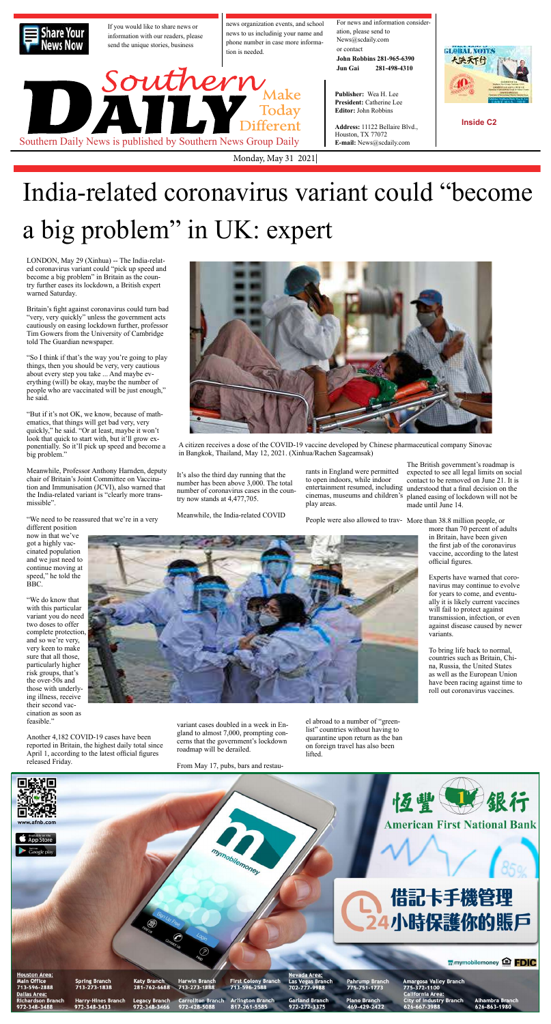Monday, May 31 2021|



# India-related coronavirus variant could "become a big problem" in UK: expert



If you would like to share news or information with our readers, please send the unique stories, business

Southern<br>Today<br>Different

**Address:** 11122 Bellaire Blvd., Houston, TX 77072 Southern Daily News is published by Southern News Group Daily **E-mail:** News@scdaily.com

news organization events, and school news to us includinig your name and phone number in case more information is needed.

For news and information consider-

ation, please send to

News@scdaily.com or contact **John Robbins 281-965-6390 Jun Gai 281-498-4310**

**Publisher:** Wea H. Lee **President:** Catherine Lee **Editor:** John Robbins

**Inside C2**

LONDON, May 29 (Xinhua) -- The India-related coronavirus variant could "pick up speed and become a big problem" in Britain as the country further eases its lockdown, a British expert warned Saturday.

"We need to be reassured that we're in a very different position

"We do know that with this particular variant you do need two doses to offer complete protection, and so we're very, very keen to make sure that all those, particularly higher risk groups, that's the over-50s and those with underlying illness, receive their second vaccination as soon as feasible."

Britain's fight against coronavirus could turn bad "very, very quickly" unless the government acts cautiously on easing lockdown further, professor Tim Gowers from the University of Cambridge told The Guardian newspaper.

"So I think if that's the way you're going to play things, then you should be very, very cautious about every step you take ... And maybe everything (will) be okay, maybe the number of people who are vaccinated will be just enough," he said.

"But if it's not OK, we know, because of mathematics, that things will get bad very, very quickly," he said. "Or at least, maybe it won't look that quick to start with, but it'll grow exponentially. So it'll pick up speed and become a big problem."

Meanwhile, Professor Anthony Harnden, deputy chair of Britain's Joint Committee on Vaccination and Immunisation (JCVI), also warned that the India-related variant is "clearly more transmissible".

now in that we've got a highly vaccinated population and we just need to continue moving at speed," he told the BBC.



Another 4,182 COVID-19 cases have been reported in Britain, the highest daily total since April 1, according to the latest official figures released Friday.

A citizen receives a dose of the COVID-19 vaccine developed by Chinese pharmaceutical company Sinovac in Bangkok, Thailand, May 12, 2021. (Xinhua/Rachen Sageamsak)

It's also the third day running that the number has been above 3,000. The total number of coronavirus cases in the country now stands at 4,477,705.

Meanwhile, the India-related COVID

variant cases doubled in a week in England to almost 7,000, prompting concerns that the government's lockdown roadmap will be derailed.

From May 17, pubs, bars and restau-

rants in England were permitted to open indoors, while indoor play areas.

el abroad to a number of "greenlist" countries without having to quarantine upon return as the ban on foreign travel has also been lifted.

entertainment resumed, including understood that a final decision on the cinemas, museums and children's planed easing of lockdown will not be The British government's roadmap is expected to see all legal limits on social contact to be removed on June 21. It is made until June 14.

People were also allowed to trav-More than 38.8 million people, or



more than 70 percent of adults in Britain, have been given the first jab of the coronavirus vaccine, according to the latest official figures.

Experts have warned that coronavirus may continue to evolve for years to come, and eventually it is likely current vaccines will fail to protect against transmission, infection, or even against disease caused by newer variants.

To bring life back to normal, countries such as Britain, China, Russia, the United States as well as the European Union have been racing against time to roll out coronavirus vaccines.

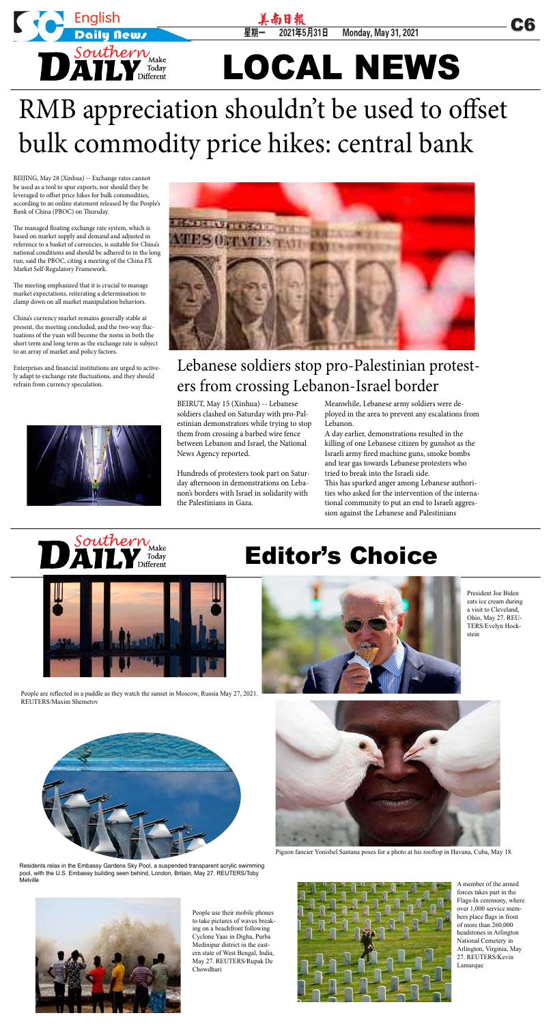星期一 2021年5月31日 Monday, May 31, 2021 LOCAL NEWS



BEIJING, May 28 (Xinhua) -- Exchange rates cannot be used as a tool to spur exports, nor should they be leveraged to offset price hikes for bulk commodities, according to an online statement released by the People's Bank of China (PBOC) on Thursday.

The managed floating exchange rate system, which is based on market supply and demand and adjusted in reference to a basket of currencies, is suitable for China's national conditions and should be adhered to in the long run, said the PBOC, citing a meeting of the China FX Market Self-Regulatory Framework.

The meeting emphasized that it is crucial to manage market expectations, reiterating a determination to clamp down on all market manipulation behaviors.

China's currency market remains generally stable at present, the meeting concluded, and the two-way fluctuations of the yuan will become the norm in both the short term and long term as the exchange rate is subject to an array of market and policy factors.

Enterprises and financial institutions are urged to actively adapt to exchange rate fluctuations, and they should refrain from currency speculation.





## RMB appreciation shouldn't be used to offset bulk commodity price hikes: central bank

Meanwhile, Lebanese army soldiers were deployed in the area to prevent any escalations from Lebanon.

A day earlier, demonstrations resulted in the killing of one Lebanese citizen by gunshot as the Israeli army fired machine guns, smoke bombs and tear gas towards Lebanese protesters who tried to break into the Israeli side.

This has sparked anger among Lebanese authorities who asked for the intervention of the international community to put an end to Israeli aggression against the Lebanese and Palestinians



BEIRUT, May 15 (Xinhua) -- Lebanese soldiers clashed on Saturday with pro-Palestinian demonstrators while trying to stop them from crossing a barbed wire fence between Lebanon and Israel, the National News Agency reported.

Hundreds of protesters took part on Saturday afternoon in demonstrations on Lebanon's borders with Israel in solidarity with the Palestinians in Gaza.

#### Lebanese soldiers stop pro-Palestinian protesters from crossing Lebanon-Israel border

### Editor's Choice



People are reflected in a puddle as they watch the sunset in Moscow, Russia May 27, 2021. REUTERS/Maxim Shemetov



Pigeon fancier Yonisbel Santana poses for a photo at his rooftop in Havana, Cuba, May 18.



Residents relax in the Embassy Gardens Sky Pool, a suspended transparent acrylic swimming pool, with the U.S. Embassy building seen behind, London, Britain, May 27. REUTERS/Toby Melville



President Joe Biden eats ice cream during a visit to Cleveland, Ohio, May 27. REU-TERS/Evelyn Hockstein



A member of the armed forces takes part in the Flags-In ceremony, where over 1,000 service members place flags in front of more than 260,000 headstones in Arlington National Cemetery in Arlington, Virginia, May 27. REUTERS/Kevin Lamarque



People use their mobile phones to take pictures of waves breaking on a beachfront following Cyclone Yaas in Digha, Purba Medinipur district in the eastern state of West Bengal, India, May 27. REUTERS/Rupak De Chowdhuri